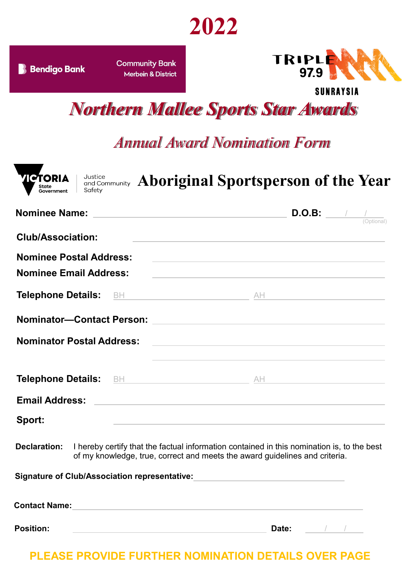

**B** Bendigo Bank

**Community Bank** Merbein & District



**SUNRAYSIA** 

*Northern Mallee Sports Star Awards*

## *Annual Award Nomination Form*

| <b>Nominee Name:</b><br><u> 1980 - Johann Barn, amerikansk politiker (* 1908)</u> | <b>D.O.B:</b> $\frac{1}{\sqrt{2\pi}}$                                                                                                                                                                         |
|-----------------------------------------------------------------------------------|---------------------------------------------------------------------------------------------------------------------------------------------------------------------------------------------------------------|
| <b>Club/Association:</b>                                                          | <u> 1989 - Johann Stoff, deutscher Stoff, der Stoff, der Stoff, der Stoff, der Stoff, der Stoff, der Stoff, der S</u>                                                                                         |
| <b>Nominee Postal Address:</b>                                                    | <u> 1989 - Johann Stoff, amerikansk politiker (* 1908)</u>                                                                                                                                                    |
| <b>Nominee Email Address:</b>                                                     |                                                                                                                                                                                                               |
|                                                                                   |                                                                                                                                                                                                               |
|                                                                                   |                                                                                                                                                                                                               |
| <b>Nominator Postal Address:</b>                                                  | the control of the control of the control of the control of the control of the control of<br>and the control of the control of the control of the control of the control of the control of the control of the |
| <b>Telephone Details:</b>                                                         |                                                                                                                                                                                                               |
| <b>Email Address:</b>                                                             | <u> 1989 - Johann Barbara, martxa eta batarra (h. 1989).</u>                                                                                                                                                  |
| Sport:                                                                            | the control of the control of the control of the control of the control of                                                                                                                                    |
| <b>Declaration:</b>                                                               | I hereby certify that the factual information contained in this nomination is, to the best<br>of my knowledge, true, correct and meets the award guidelines and criteria.                                     |
|                                                                                   |                                                                                                                                                                                                               |

| <b>Contact Name:</b> |       |  |
|----------------------|-------|--|
|                      |       |  |
| <b>Position:</b>     | Date: |  |

## **PLEASE PROVIDE FURTHER NOMINATION DETAILS OVER PAGE**